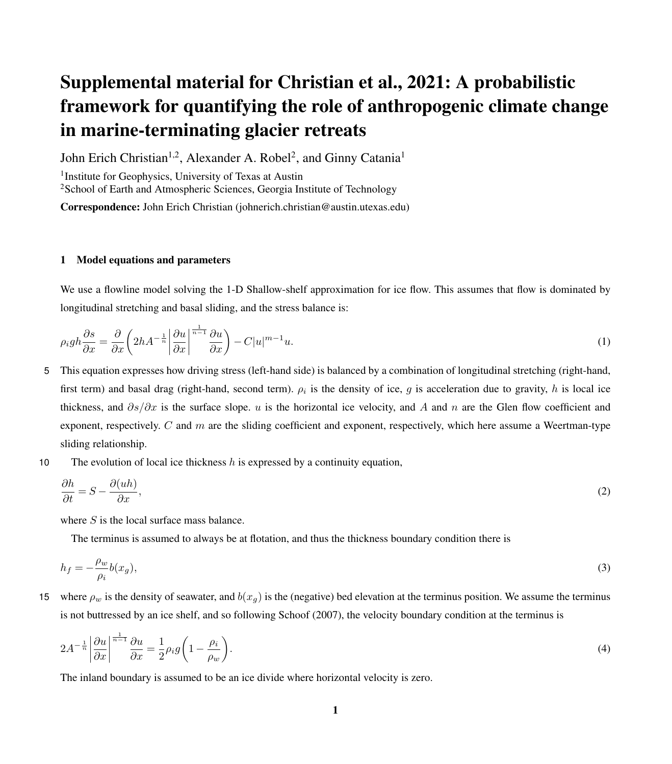# Supplemental material for Christian et al., 2021: A probabilistic framework for quantifying the role of anthropogenic climate change in marine-terminating glacier retreats

John Erich Christian<sup>1,2</sup>, Alexander A. Robel<sup>2</sup>, and Ginny Catania<sup>1</sup>

<sup>1</sup> Institute for Geophysics, University of Texas at Austin <sup>2</sup>School of Earth and Atmospheric Sciences, Georgia Institute of Technology

Correspondence: John Erich Christian (johnerich.christian@austin.utexas.edu)

#### 1 Model equations and parameters

We use a flowline model solving the 1-D Shallow-shelf approximation for ice flow. This assumes that flow is dominated by longitudinal stretching and basal sliding, and the stress balance is:

$$
\rho_i g h \frac{\partial s}{\partial x} = \frac{\partial}{\partial x} \left( 2h A^{-\frac{1}{n}} \left| \frac{\partial u}{\partial x} \right|^{-\frac{1}{n-1}} \frac{\partial u}{\partial x} \right) - C|u|^{m-1} u. \tag{1}
$$

- 5 This equation expresses how driving stress (left-hand side) is balanced by a combination of longitudinal stretching (right-hand, first term) and basal drag (right-hand, second term).  $\rho_i$  is the density of ice, g is acceleration due to gravity, h is local ice thickness, and  $\partial s/\partial x$  is the surface slope. u is the horizontal ice velocity, and A and n are the Glen flow coefficient and exponent, respectively. C and  $m$  are the sliding coefficient and exponent, respectively, which here assume a Weertman-type sliding relationship.
- 10 The evolution of local ice thickness  $h$  is expressed by a continuity equation,

<span id="page-0-0"></span>
$$
\frac{\partial h}{\partial t} = S - \frac{\partial (uh)}{\partial x},\tag{2}
$$

where  $S$  is the local surface mass balance.

The terminus is assumed to always be at flotation, and thus the thickness boundary condition there is

$$
h_f = -\frac{\rho_w}{\rho_i} b(x_g),\tag{3}
$$

15 where  $\rho_w$  is the density of seawater, and  $b(x_q)$  is the (negative) bed elevation at the terminus position. We assume the terminus is not buttressed by an ice shelf, and so following [Schoof](#page-7-0) [\(2007\)](#page-7-0), the velocity boundary condition at the terminus is

$$
2A^{-\frac{1}{n}} \left| \frac{\partial u}{\partial x} \right|^{\frac{1}{n-1}} \frac{\partial u}{\partial x} = \frac{1}{2} \rho_i g \left( 1 - \frac{\rho_i}{\rho_w} \right). \tag{4}
$$

The inland boundary is assumed to be an ice divide where horizontal velocity is zero.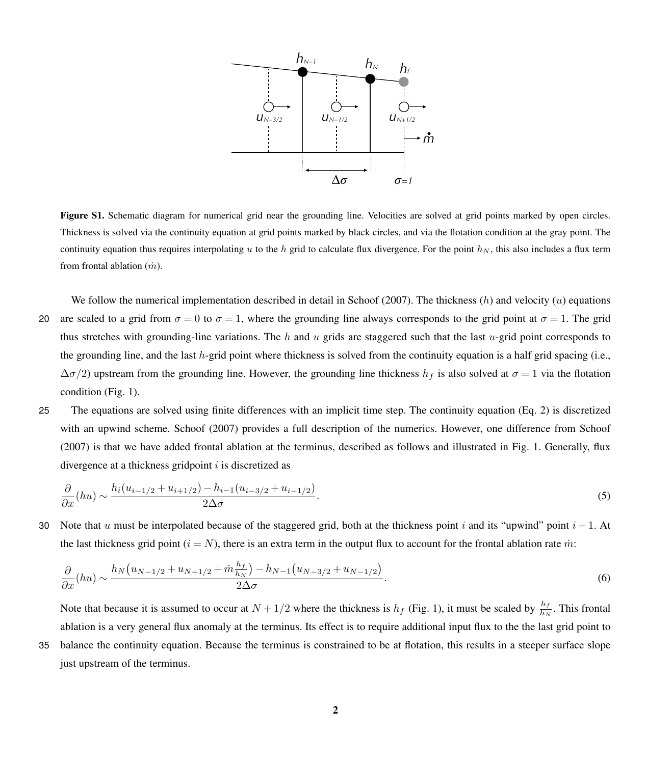

Figure S1. Schematic diagram for numerical grid near the grounding line. Velocities are solved at grid points marked by open circles. Thickness is solved via the continuity equation at grid points marked by black circles, and via the flotation condition at the gray point. The continuity equation thus requires interpolating u to the h grid to calculate flux divergence. For the point  $h_N$ , this also includes a flux term from frontal ablation  $(m)$ .

- We follow the numerical implementation described in detail in [Schoof](#page-7-0) [\(2007\)](#page-7-0). The thickness  $(h)$  and velocity  $(u)$  equations 20 are scaled to a grid from  $\sigma = 0$  to  $\sigma = 1$ , where the grounding line always corresponds to the grid point at  $\sigma = 1$ . The grid thus stretches with grounding-line variations. The h and u grids are staggered such that the last u-grid point corresponds to the grounding line, and the last  $h$ -grid point where thickness is solved from the continuity equation is a half grid spacing (i.e.,  $\Delta\sigma/2$ ) upstream from the grounding line. However, the grounding line thickness  $h_f$  is also solved at  $\sigma = 1$  via the flotation condition (Fig. 1).
- 25 The equations are solved using finite differences with an implicit time step. The continuity equation (Eq. [2\)](#page-0-0) is discretized with an upwind scheme. [Schoof](#page-7-0) [\(2007\)](#page-7-0) provides a full description of the numerics. However, one difference from Schoof [\(2007\)](#page-7-0) is that we have added frontal ablation at the terminus, described as follows and illustrated in Fig. 1. Generally, flux divergence at a thickness gridpoint  $i$  is discretized as

$$
\frac{\partial}{\partial x}(hu) \sim \frac{h_i(u_{i-1/2} + u_{i+1/2}) - h_{i-1}(u_{i-3/2} + u_{i-1/2})}{2\Delta\sigma}.
$$
\n(5)

30 Note that u must be interpolated because of the staggered grid, both at the thickness point i and its "upwind" point  $i - 1$ . At the last thickness grid point ( $i = N$ ), there is an extra term in the output flux to account for the frontal ablation rate m:

$$
\frac{\partial}{\partial x}(hu) \sim \frac{h_N(u_{N-1/2} + u_{N+1/2} + \dot{m}\frac{h_f}{h_N}) - h_{N-1}(u_{N-3/2} + u_{N-1/2})}{2\Delta\sigma}.
$$
\n(6)

Note that because it is assumed to occur at  $N + 1/2$  where the thickness is  $h_f$  (Fig. 1), it must be scaled by  $\frac{h_f}{h_N}$ . This frontal ablation is a very general flux anomaly at the terminus. Its effect is to require additional input flux to the the last grid point to 35 balance the continuity equation. Because the terminus is constrained to be at flotation, this results in a steeper surface slope just upstream of the terminus.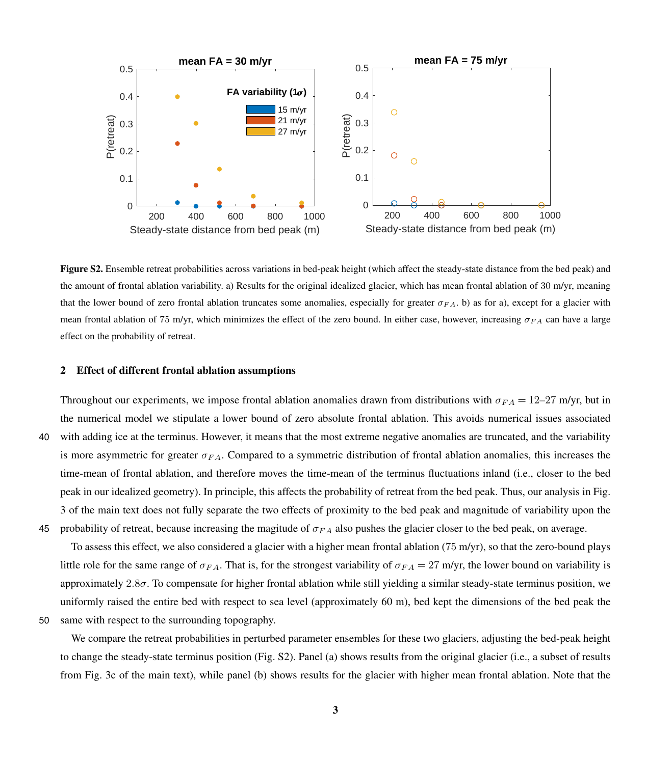

Figure S2. Ensemble retreat probabilities across variations in bed-peak height (which affect the steady-state distance from the bed peak) and the amount of frontal ablation variability. a) Results for the original idealized glacier, which has mean frontal ablation of 30 m/yr, meaning that the lower bound of zero frontal ablation truncates some anomalies, especially for greater  $\sigma_{FA}$ . b) as for a), except for a glacier with mean frontal ablation of 75 m/yr, which minimizes the effect of the zero bound. In either case, however, increasing  $\sigma_{FA}$  can have a large effect on the probability of retreat.

#### 2 Effect of different frontal ablation assumptions

Throughout our experiments, we impose frontal ablation anomalies drawn from distributions with  $\sigma_{FA} = 12-27$  m/yr, but in the numerical model we stipulate a lower bound of zero absolute frontal ablation. This avoids numerical issues associated 40 with adding ice at the terminus. However, it means that the most extreme negative anomalies are truncated, and the variability is more asymmetric for greater  $\sigma_{FA}$ . Compared to a symmetric distribution of frontal ablation anomalies, this increases the time-mean of frontal ablation, and therefore moves the time-mean of the terminus fluctuations inland (i.e., closer to the bed peak in our idealized geometry). In principle, this affects the probability of retreat from the bed peak. Thus, our analysis in Fig. 3 of the main text does not fully separate the two effects of proximity to the bed peak and magnitude of variability upon the 45 probability of retreat, because increasing the magitude of  $\sigma_{FA}$  also pushes the glacier closer to the bed peak, on average.

To assess this effect, we also considered a glacier with a higher mean frontal ablation (75 m/yr), so that the zero-bound plays little role for the same range of  $\sigma_{FA}$ . That is, for the strongest variability of  $\sigma_{FA} = 27$  m/yr, the lower bound on variability is approximately  $2.8\sigma$ . To compensate for higher frontal ablation while still yielding a similar steady-state terminus position, we uniformly raised the entire bed with respect to sea level (approximately 60 m), bed kept the dimensions of the bed peak the 50 same with respect to the surrounding topography.

We compare the retreat probabilities in perturbed parameter ensembles for these two glaciers, adjusting the bed-peak height to change the steady-state terminus position (Fig. S2). Panel (a) shows results from the original glacier (i.e., a subset of results from Fig. 3c of the main text), while panel (b) shows results for the glacier with higher mean frontal ablation. Note that the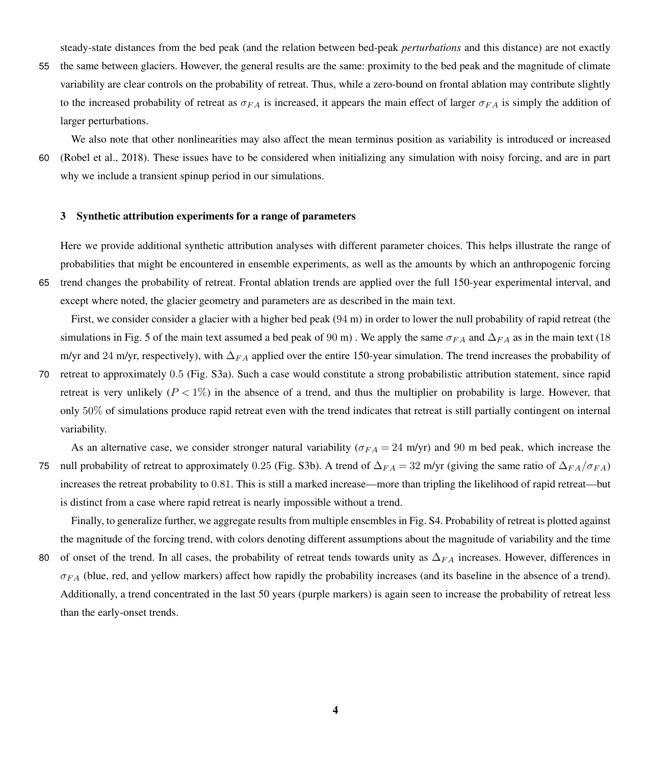steady-state distances from the bed peak (and the relation between bed-peak *perturbations* and this distance) are not exactly

55 the same between glaciers. However, the general results are the same: proximity to the bed peak and the magnitude of climate variability are clear controls on the probability of retreat. Thus, while a zero-bound on frontal ablation may contribute slightly to the increased probability of retreat as  $\sigma_{FA}$  is increased, it appears the main effect of larger  $\sigma_{FA}$  is simply the addition of larger perturbations.

We also note that other nonlinearities may also affect the mean terminus position as variability is introduced or increased 60 [\(Robel et al., 2018\)](#page-7-1). These issues have to be considered when initializing any simulation with noisy forcing, and are in part why we include a transient spinup period in our simulations.

#### 3 Synthetic attribution experiments for a range of parameters

Here we provide additional synthetic attribution analyses with different parameter choices. This helps illustrate the range of probabilities that might be encountered in ensemble experiments, as well as the amounts by which an anthropogenic forcing 65 trend changes the probability of retreat. Frontal ablation trends are applied over the full 150-year experimental interval, and except where noted, the glacier geometry and parameters are as described in the main text.

First, we consider consider a glacier with a higher bed peak (94 m) in order to lower the null probability of rapid retreat (the simulations in Fig. 5 of the main text assumed a bed peak of 90 m). We apply the same  $\sigma_{FA}$  and  $\Delta_{FA}$  as in the main text (18 m/yr and 24 m/yr, respectively), with  $\Delta_{FA}$  applied over the entire 150-year simulation. The trend increases the probability of

70 retreat to approximately 0.5 (Fig. S3a). Such a case would constitute a strong probabilistic attribution statement, since rapid retreat is very unlikely  $(P < 1\%)$  in the absence of a trend, and thus the multiplier on probability is large. However, that only 50% of simulations produce rapid retreat even with the trend indicates that retreat is still partially contingent on internal variability.

As an alternative case, we consider stronger natural variability ( $\sigma_{FA} = 24$  m/yr) and 90 m bed peak, which increase the 75 null probability of retreat to approximately 0.25 (Fig. S3b). A trend of  $\Delta_{FA} = 32$  m/yr (giving the same ratio of  $\Delta_{FA}/\sigma_{FA}$ ) increases the retreat probability to 0.81. This is still a marked increase—more than tripling the likelihood of rapid retreat—but is distinct from a case where rapid retreat is nearly impossible without a trend.

Finally, to generalize further, we aggregate results from multiple ensembles in Fig. S4. Probability of retreat is plotted against the magnitude of the forcing trend, with colors denoting different assumptions about the magnitude of variability and the time 80 of onset of the trend. In all cases, the probability of retreat tends towards unity as  $\Delta_{FA}$  increases. However, differences in  $\sigma_{FA}$  (blue, red, and yellow markers) affect how rapidly the probability increases (and its baseline in the absence of a trend). Additionally, a trend concentrated in the last 50 years (purple markers) is again seen to increase the probability of retreat less than the early-onset trends.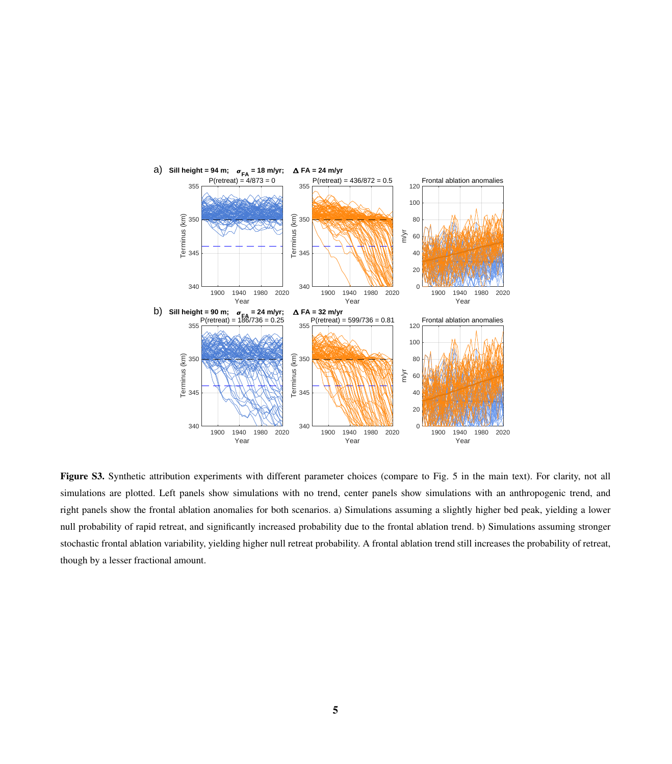

Figure S3. Synthetic attribution experiments with different parameter choices (compare to Fig. 5 in the main text). For clarity, not all simulations are plotted. Left panels show simulations with no trend, center panels show simulations with an anthropogenic trend, and right panels show the frontal ablation anomalies for both scenarios. a) Simulations assuming a slightly higher bed peak, yielding a lower null probability of rapid retreat, and significantly increased probability due to the frontal ablation trend. b) Simulations assuming stronger stochastic frontal ablation variability, yielding higher null retreat probability. A frontal ablation trend still increases the probability of retreat, though by a lesser fractional amount.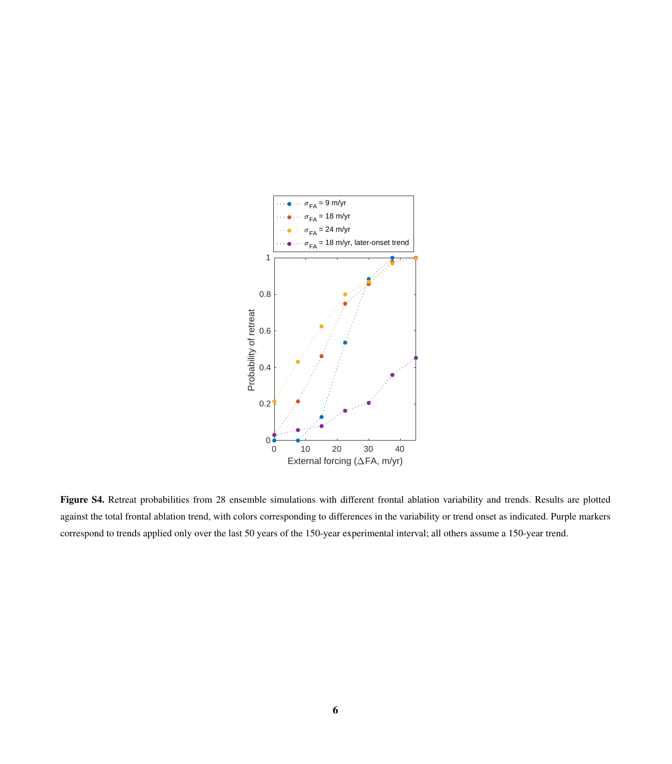

Figure S4. Retreat probabilities from 28 ensemble simulations with different frontal ablation variability and trends. Results are plotted against the total frontal ablation trend, with colors corresponding to differences in the variability or trend onset as indicated. Purple markers correspond to trends applied only over the last 50 years of the 150-year experimental interval; all others assume a 150-year trend.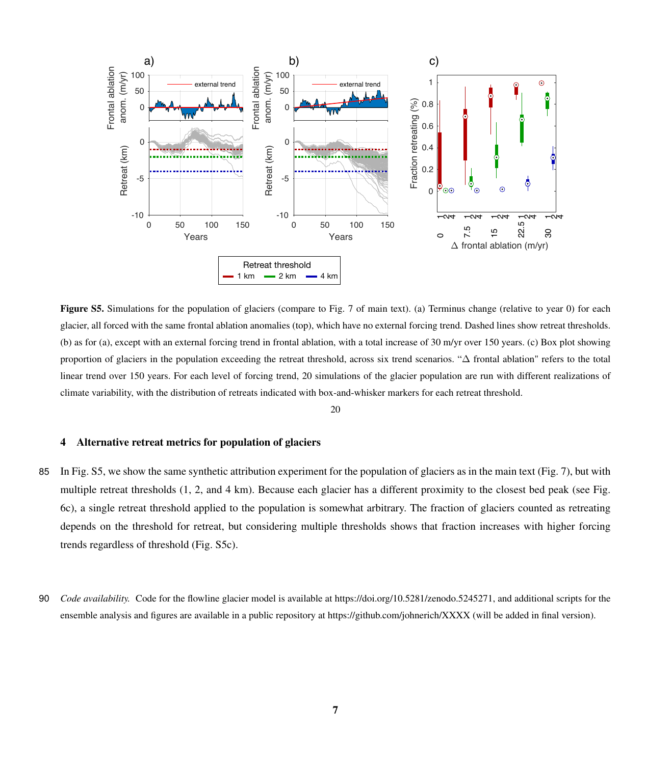

Figure S5. Simulations for the population of glaciers (compare to Fig. 7 of main text). (a) Terminus change (relative to year 0) for each glacier, all forced with the same frontal ablation anomalies (top), which have no external forcing trend. Dashed lines show retreat thresholds. (b) as for (a), except with an external forcing trend in frontal ablation, with a total increase of 30 m/yr over 150 years. (c) Box plot showing proportion of glaciers in the population exceeding the retreat threshold, across six trend scenarios. "∆ frontal ablation" refers to the total linear trend over 150 years. For each level of forcing trend, 20 simulations of the glacier population are run with different realizations of climate variability, with the distribution of retreats indicated with box-and-whisker markers for each retreat threshold.

20

### 4 Alternative retreat metrics for population of glaciers

- 85 In Fig. S5, we show the same synthetic attribution experiment for the population of glaciers as in the main text (Fig. 7), but with multiple retreat thresholds (1, 2, and 4 km). Because each glacier has a different proximity to the closest bed peak (see Fig. 6c), a single retreat threshold applied to the population is somewhat arbitrary. The fraction of glaciers counted as retreating depends on the threshold for retreat, but considering multiple thresholds shows that fraction increases with higher forcing trends regardless of threshold (Fig. S5c).
- 90 *Code availability.* Code for the flowline glacier model is available at https://doi.org/10.5281/zenodo.5245271, and additional scripts for the ensemble analysis and figures are available in a public repository at https://github.com/johnerich/XXXX (will be added in final version).